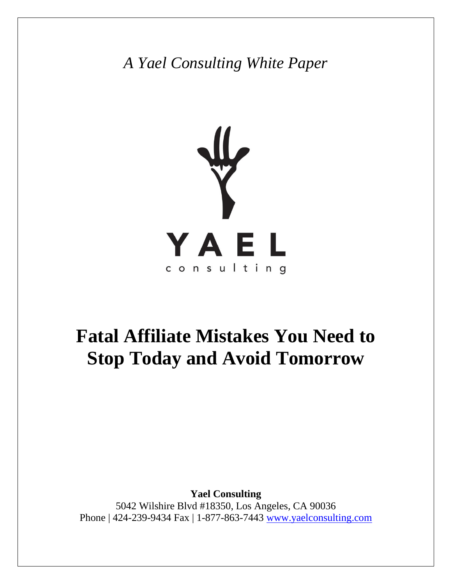*A Yael Consulting White Paper*



# **Fatal Affiliate Mistakes You Need to Stop Today and Avoid Tomorrow**

**Yael Consulting** 5042 Wilshire Blvd #18350, Los Angeles, CA 90036 Phone | 424-239-9434 Fax | 1-877-863-7443 [www.yaelconsulting.com](http://www.yaelconsulting.com/)